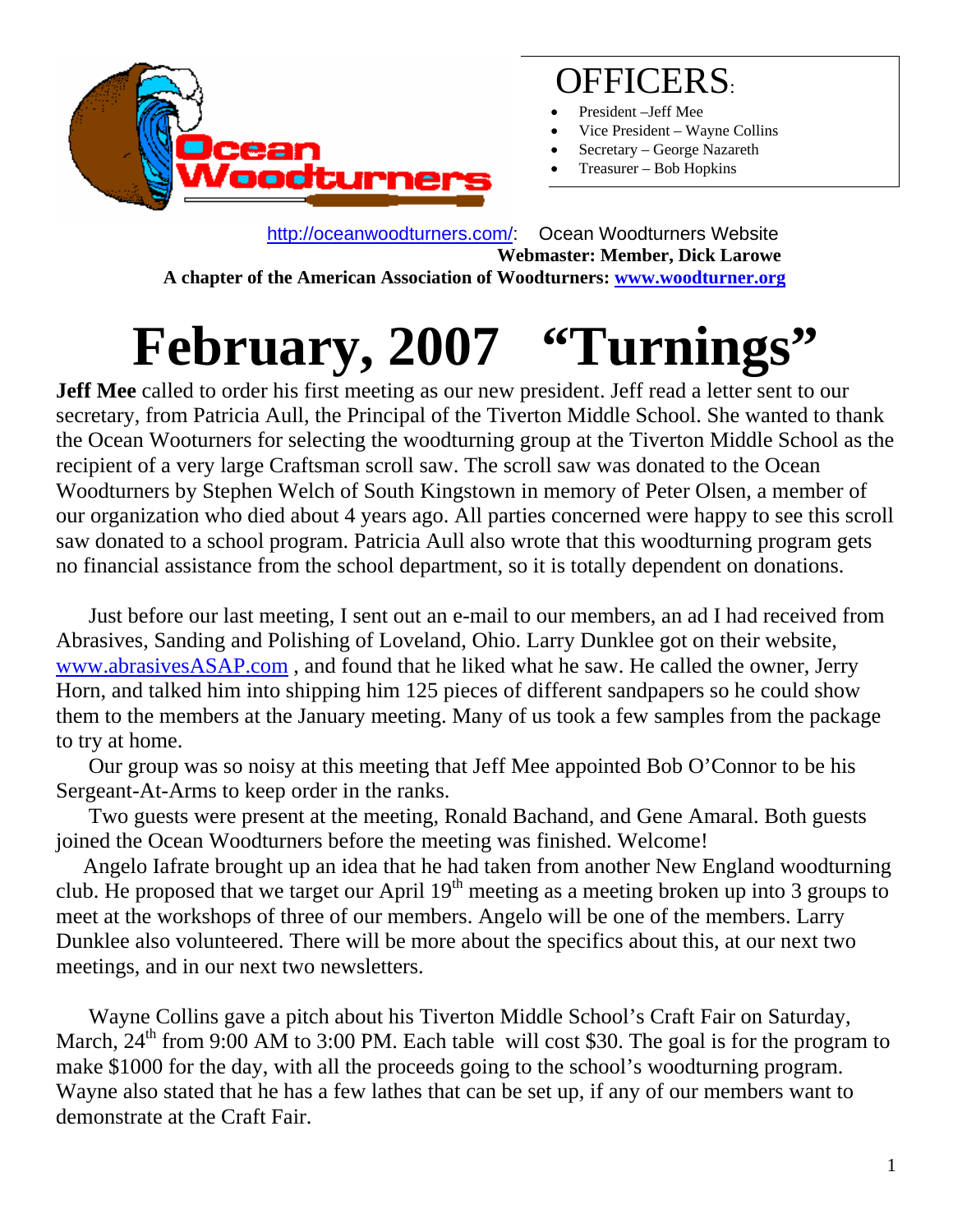

### OFFICERS:

- President -Jeff Mee
- Vice President Wayne Collins
- Secretary George Nazareth
- Treasurer Bob Hopkins

 http://oceanwoodturners.com/: Ocean Woodturners Website **Webmaster: Member, Dick Larowe A chapter of the American Association of Woodturners: www.woodturner.org** 

# **February, 2007 "Turnings"**

**Jeff Mee** called to order his first meeting as our new president. Jeff read a letter sent to our secretary, from Patricia Aull, the Principal of the Tiverton Middle School. She wanted to thank the Ocean Wooturners for selecting the woodturning group at the Tiverton Middle School as the recipient of a very large Craftsman scroll saw. The scroll saw was donated to the Ocean Woodturners by Stephen Welch of South Kingstown in memory of Peter Olsen, a member of our organization who died about 4 years ago. All parties concerned were happy to see this scroll saw donated to a school program. Patricia Aull also wrote that this woodturning program gets no financial assistance from the school department, so it is totally dependent on donations.

 Just before our last meeting, I sent out an e-mail to our members, an ad I had received from Abrasives, Sanding and Polishing of Loveland, Ohio. Larry Dunklee got on their website, www.abrasivesASAP.com , and found that he liked what he saw. He called the owner, Jerry Horn, and talked him into shipping him 125 pieces of different sandpapers so he could show them to the members at the January meeting. Many of us took a few samples from the package to try at home.

 Our group was so noisy at this meeting that Jeff Mee appointed Bob O'Connor to be his Sergeant-At-Arms to keep order in the ranks.

 Two guests were present at the meeting, Ronald Bachand, and Gene Amaral. Both guests joined the Ocean Woodturners before the meeting was finished. Welcome!

 Angelo Iafrate brought up an idea that he had taken from another New England woodturning club. He proposed that we target our April  $19<sup>th</sup>$  meeting as a meeting broken up into 3 groups to meet at the workshops of three of our members. Angelo will be one of the members. Larry Dunklee also volunteered. There will be more about the specifics about this, at our next two meetings, and in our next two newsletters.

 Wayne Collins gave a pitch about his Tiverton Middle School's Craft Fair on Saturday, March,  $24<sup>th</sup>$  from 9:00 AM to 3:00 PM. Each table will cost \$30. The goal is for the program to make \$1000 for the day, with all the proceeds going to the school's woodturning program. Wayne also stated that he has a few lathes that can be set up, if any of our members want to demonstrate at the Craft Fair.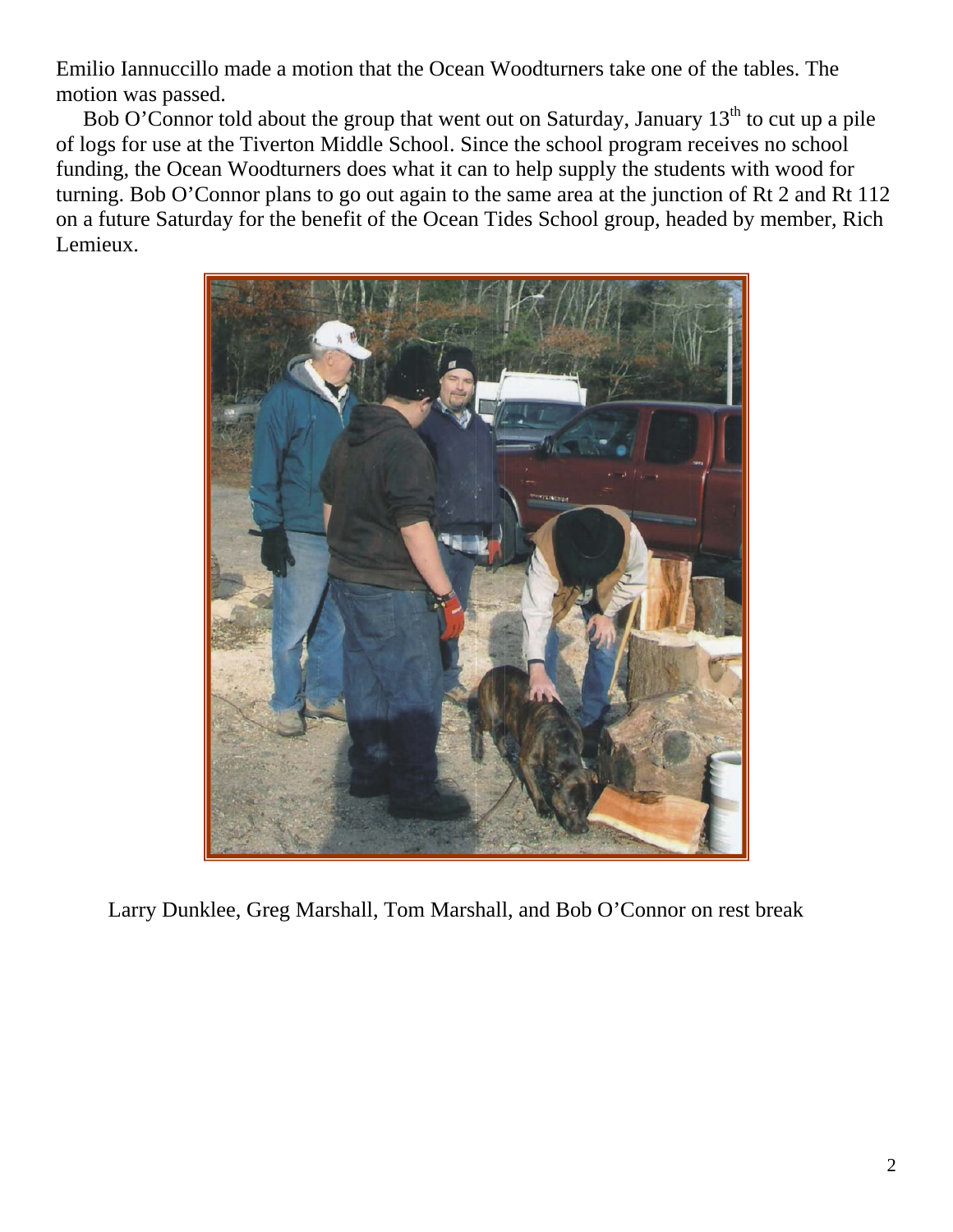Emilio Iannuccillo made a motion that the Ocean Woodturners take one of the tables. The motion was passed.

Bob O'Connor told about the group that went out on Saturday, January  $13<sup>th</sup>$  to cut up a pile of logs for use at the Tiverton Middle School. Since the school program receives no school funding, the Ocean Woodturners does what it can to help supply the students with wood for turning. Bob O'Connor plans to go out again to the same area at the junction of Rt 2 and Rt 112 on a future Saturday for the benefit of the Ocean Tides School group, headed by member, Rich Lemieux.



Larry Dunklee, Greg Marshall, Tom Marshall, and Bob O'Connor on rest break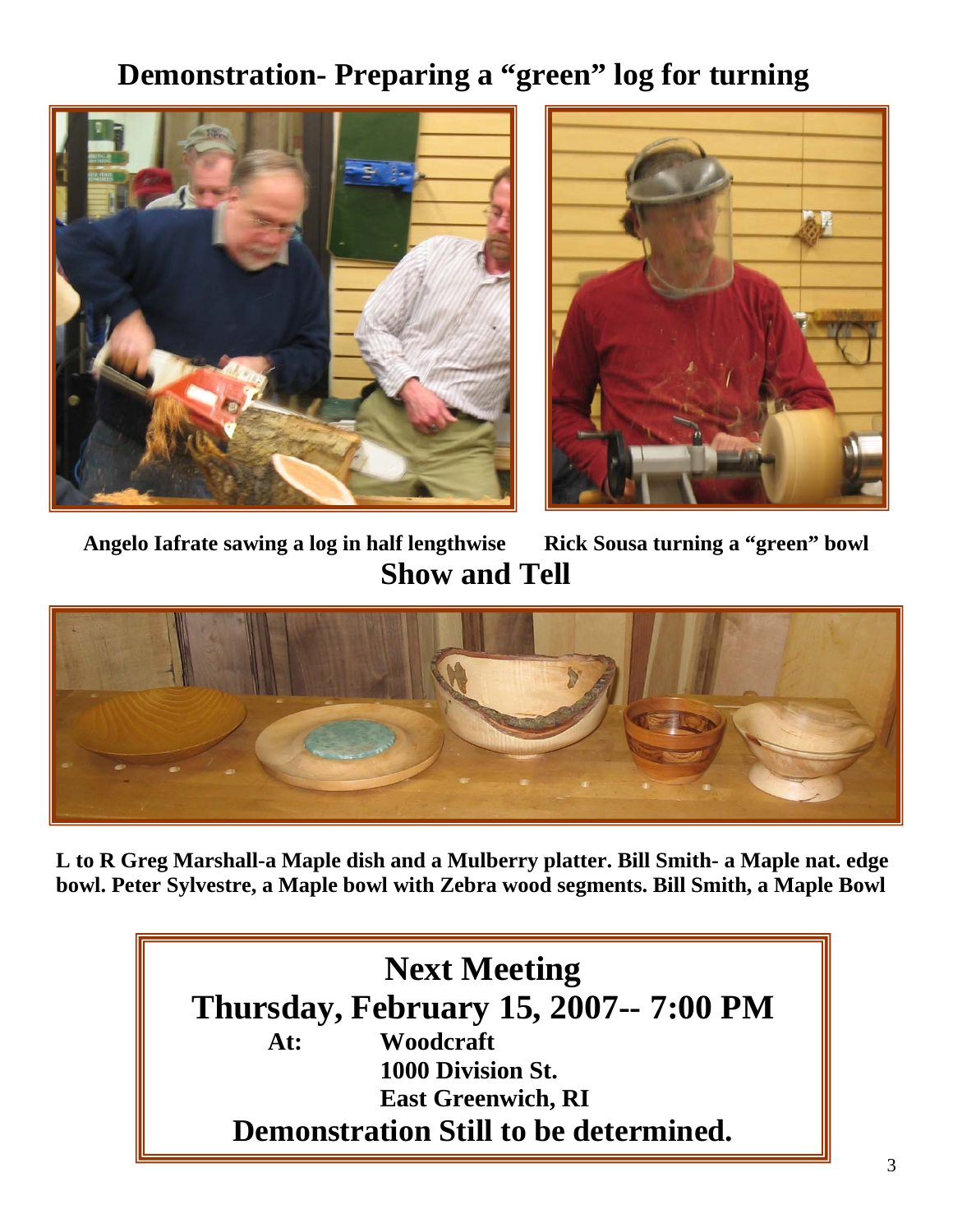#### **Demonstration- Preparing a "green" log for turning**





**Angelo Iafrate sawing a log in half lengthwise Rick Sousa turning a "green" bowl Show and Tell** 



**L to R Greg Marshall-a Maple dish and a Mulberry platter. Bill Smith- a Maple nat. edge bowl. Peter Sylvestre, a Maple bowl with Zebra wood segments. Bill Smith, a Maple Bowl** 

#### **Next Meeting Thursday, February 15, 2007-- 7:00 PM At: Woodcraft 1000 Division St. East Greenwich, RI Demonstration Still to be determined.**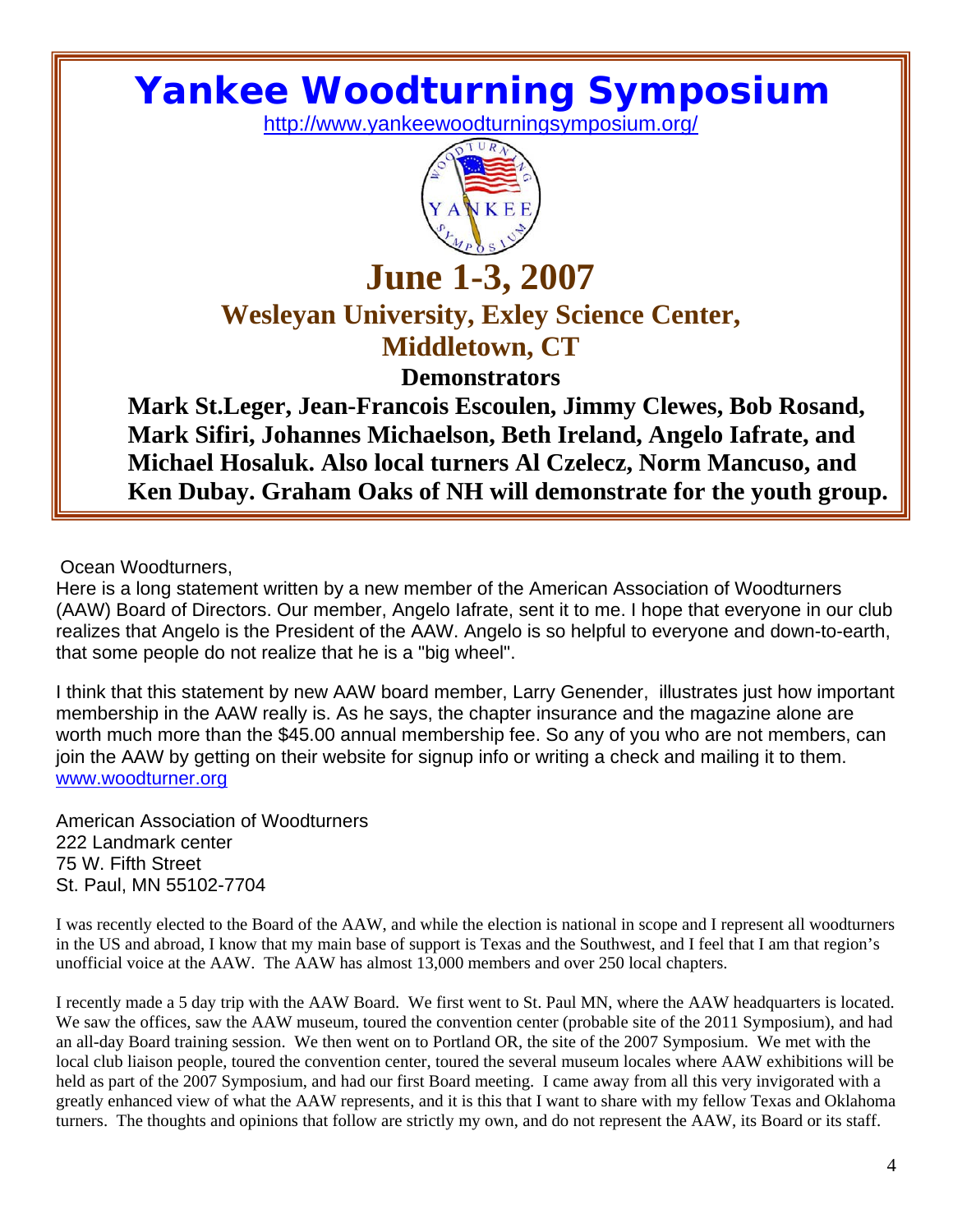## **Yankee Woodturning Symposium**

http://www.yankeewoodturningsymposium.org/



#### **June 1-3, 2007 Wesleyan University, Exley Science Center, Middletown, CT**

**Demonstrators** 

**Mark St.Leger, Jean-Francois Escoulen, Jimmy Clewes, Bob Rosand, Mark Sifiri, Johannes Michaelson, Beth Ireland, Angelo Iafrate, and Michael Hosaluk. Also local turners Al Czelecz, Norm Mancuso, and Ken Dubay. Graham Oaks of NH will demonstrate for the youth group.**

Ocean Woodturners,

Here is a long statement written by a new member of the American Association of Woodturners (AAW) Board of Directors. Our member, Angelo Iafrate, sent it to me. I hope that everyone in our club realizes that Angelo is the President of the AAW. Angelo is so helpful to everyone and down-to-earth, that some people do not realize that he is a "big wheel".

I think that this statement by new AAW board member, Larry Genender, illustrates just how important membership in the AAW really is. As he says, the chapter insurance and the magazine alone are worth much more than the \$45.00 annual membership fee. So any of you who are not members, can join the AAW by getting on their website for signup info or writing a check and mailing it to them. www.woodturner.org

American Association of Woodturners 222 Landmark center 75 W. Fifth Street St. Paul, MN 55102-7704

I was recently elected to the Board of the AAW, and while the election is national in scope and I represent all woodturners in the US and abroad, I know that my main base of support is Texas and the Southwest, and I feel that I am that region's unofficial voice at the AAW. The AAW has almost 13,000 members and over 250 local chapters.

I recently made a 5 day trip with the AAW Board. We first went to St. Paul MN, where the AAW headquarters is located. We saw the offices, saw the AAW museum, toured the convention center (probable site of the 2011 Symposium), and had an all-day Board training session. We then went on to Portland OR, the site of the 2007 Symposium. We met with the local club liaison people, toured the convention center, toured the several museum locales where AAW exhibitions will be held as part of the 2007 Symposium, and had our first Board meeting. I came away from all this very invigorated with a greatly enhanced view of what the AAW represents, and it is this that I want to share with my fellow Texas and Oklahoma turners. The thoughts and opinions that follow are strictly my own, and do not represent the AAW, its Board or its staff.